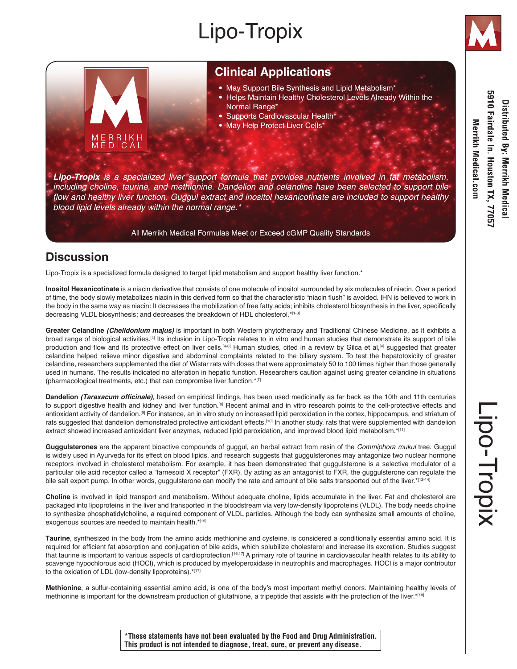# Lipo-Tropix



### **Clinical Applications**

- May Support Bile Synthesis and Lipid Metabolism\*
- Helps Maintain Healthy Cholesterol Levels Already Within the Normal Range\*
- Supports Cardiovascular Health<sup>\*</sup>
- May Help Protect Liver Cells\*

*Lipo-Tropix is a specialized liver support formula that provides nutrients involved in fat metabolism, including choline, taurine, and methionine. Dandelion and celandine have been selected to support bile*  flow and healthy liver function. Guggul extract and inositol hexanicotinate are included to support healthy blood lipid levels already within the normal range.\*

All Merrikh Medical Formulas Meet or Exceed cGMP Quality Standards

## **Discussion**

ERRIKH

Lipo-Tropix is a specialized formula designed to target lipid metabolism and support healthy liver function.\*

**Inositol Hexanicotinate** is a niacin derivative that consists of one molecule of inositol surrounded by six molecules of niacin. Over a period of time, the body slowly metabolizes niacin in this derived form so that the characteristic "niacin flush" is avoided. IHN is believed to work in the body in the same way as niacin: It decreases the mobilization of free fatty acids; inhibits cholesterol biosynthesis in the liver, specifically decreasing VLDL biosynthesis; and decreases the breakdown of HDL cholesterol.\*[1-3]

**Greater Celandine** *(Chelidonium majus)* is important in both Western phytotherapy and Traditional Chinese Medicine, as it exhibits a broad range of biological activities.[4] Its inclusion in Lipo-Tropix relates to in vitro and human studies that demonstrate its support of bile production and flow and its protective effect on liver cells.<sup>[4-6]</sup> Human studies, cited in a review by Gilca et al,<sup>[4]</sup> suggested that greater celandine helped relieve minor digestive and abdominal complaints related to the biliary system. To test the hepatotoxicity of greater celandine, researchers supplemented the diet of Wistar rats with doses that were approximately 50 to 100 times higher than those generally used in humans. The results indicated no alteration in hepatic function. Researchers caution against using greater celandine in situations (pharmacological treatments, etc.) that can compromise liver function.\*[7]

**Dandelion (Taraxacum officinale)**, based on empirical findings, has been used medicinally as far back as the 10th and 11th centuries to support digestive health and kidney and liver function.<sup>[8]</sup> Recent animal and in vitro research points to the cell-protective effects and antioxidant activity of dandelion.<sup>[9]</sup> For instance, an in vitro study on increased lipid peroxidation in the cortex, hippocampus, and striatum of rats suggested that dandelion demonstrated protective antioxidant effects.[10] In another study, rats that were supplemented with dandelion extract showed increased antioxidant liver enzymes, reduced lipid peroxidation, and improved blood lipid metabolism.\*[11]

**Guggulsterones** are the apparent bioactive compounds of guggul, an herbal extract from resin of the *Commiphora mukul* tree. Guggul is widely used in Ayurveda for its effect on blood lipids, and research suggests that guggulsterones may antagonize two nuclear hormone receptors involved in cholesterol metabolism. For example, it has been demonstrated that guggulsterone is a selective modulator of a particular bile acid receptor called a "farnesoid X receptor" (FXR). By acting as an antagonist to FXR, the guggulsterone can regulate the bile salt export pump. In other words, guggulsterone can modify the rate and amount of bile salts transported out of the liver.\*[12-14]

**Choline** is involved in lipid transport and metabolism. Without adequate choline, lipids accumulate in the liver. Fat and cholesterol are packaged into lipoproteins in the liver and transported in the bloodstream via very low-density lipoproteins (VLDL). The body needs choline to synthesize phosphatidylcholine, a required component of VLDL particles. Although the body can synthesize small amounts of choline, exogenous sources are needed to maintain health.\*[15]

**Taurine**, synthesized in the body from the amino acids methionine and cysteine, is considered a conditionally essential amino acid. It is required for efficient fat absorption and conjugation of bile acids, which solubilize cholesterol and increase its excretion. Studies suggest that taurine is important to various aspects of cardioprotection.[16,17] A primary role of taurine in cardiovascular health relates to its ability to scavenge hypochlorous acid (HOCl), which is produced by myeloperoxidase in neutrophils and macrophages. HOCl is a major contributor to the oxidation of LDL (low-density lipoproteins).\*[17]

**Methionine**, a sulfur-containing essential amino acid, is one of the body's most important methyl donors. Maintaining healthy levels of methionine is important for the downstream production of glutathione, a tripeptide that assists with the protection of the liver.\*[18]

**\*These statements have not been evaluated by the Food and Drug Administration. This product is not intended to diagnose, treat, cure, or prevent any disease.**